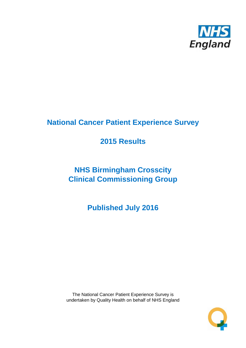

# **National Cancer Patient Experience Survey**

# **2015 Results**

# **NHS Birmingham Crosscity Clinical Commissioning Group**

**Published July 2016**

The National Cancer Patient Experience Survey is undertaken by Quality Health on behalf of NHS England

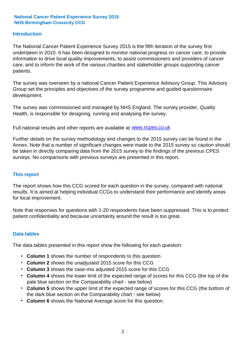#### **Introduction**

The National Cancer Patient Experience Survey 2015 is the fifth iteration of the survey first undertaken in 2010. It has been designed to monitor national progress on cancer care; to provide information to drive local quality improvements; to assist commissioners and providers of cancer care; and to inform the work of the various charities and stakeholder groups supporting cancer patients.

The survey was overseen by a national Cancer Patient Experience Advisory Group. This Advisory Group set the principles and objectives of the survey programme and guided questionnaire development.

The survey was commissioned and managed by NHS England. The survey provider, Quality Health, is responsible for designing, running and analysing the survey.

Full national results and other reports are available at www.ncpes.co.uk

Further details on the survey methodology and changes to the 2015 survey can be found in the Annex. Note that a number of significant changes were made to the 2015 survey so caution should be taken in directly comparing data from the 2015 survey to the findings of the previous CPES surveys. No comparisons with previous surveys are presented in this report.

#### **This report**

The report shows how this CCG scored for each question in the survey, compared with national results. It is aimed at helping individual CCGs to understand their performance and identify areas for local improvement.

Note that responses for questions with 1-20 respondents have been suppressed. This is to protect patient confidentiality and because uncertainty around the result is too great.

#### **Data tables**

The data tables presented in this report show the following for each question:

- **Column 1** shows the number of respondents to this question
- **Column 2** shows the unadjusted 2015 score for this CCG
- **Column 3** shows the case-mix adjusted 2015 score for this CCG
- **Column 4** shows the lower limit of the expected range of scores for this CCG (the top of the pale blue section on the Comparability chart - see below)
- **Column 5** shows the upper limit of the expected range of scores for this CCG (the bottom of the dark blue section on the Comparability chart - see below)
- **Column 6** shows the National Average score for this question.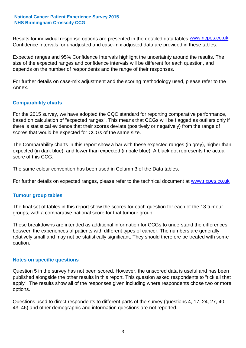Results for individual response options are presented in the detailed data tables **WWW.ncpes.co.uk** Confidence Intervals for unadjusted and case-mix adjusted data are provided in these tables.

Expected ranges and 95% Confidence Intervals highlight the uncertainty around the results. The size of the expected ranges and confidence intervals will be different for each question, and depends on the number of respondents and the range of their responses.

For further details on case-mix adjustment and the scoring methodology used, please refer to the Annex.

#### **Comparability charts**

For the 2015 survey, we have adopted the CQC standard for reporting comparative performance, based on calculation of "expected ranges". This means that CCGs will be flagged as outliers only if there is statistical evidence that their scores deviate (positively or negatively) from the range of scores that would be expected for CCGs of the same size.

The Comparability charts in this report show a bar with these expected ranges (in grey), higher than expected (in dark blue), and lower than expected (in pale blue). A black dot represents the actual score of this CCG.

The same colour convention has been used in Column 3 of the Data tables.

For further details on expected ranges, please refer to the technical document at **www.ncpes.co.uk** 

#### **Tumour group tables**

The final set of tables in this report show the scores for each question for each of the 13 tumour groups, with a comparative national score for that tumour group.

These breakdowns are intended as additional information for CCGs to understand the differences between the experiences of patients with different types of cancer. The numbers are generally relatively small and may not be statistically significant. They should therefore be treated with some caution.

#### **Notes on specific questions**

Question 5 in the survey has not been scored. However, the unscored data is useful and has been published alongside the other results in this report. This question asked respondents to "tick all that apply". The results show all of the responses given including where respondents chose two or more options.

Questions used to direct respondents to different parts of the survey (questions 4, 17, 24, 27, 40, 43, 46) and other demographic and information questions are not reported.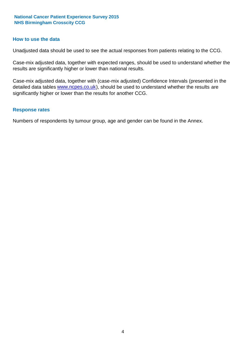#### **How to use the data**

Unadjusted data should be used to see the actual responses from patients relating to the CCG.

Case-mix adjusted data, together with expected ranges, should be used to understand whether the results are significantly higher or lower than national results.

Case-mix adjusted data, together with (case-mix adjusted) Confidence Intervals (presented in the detailed data tables **www.ncpes.co.uk**), should be used to understand whether the results are significantly higher or lower than the results for another CCG.

#### **Response rates**

Numbers of respondents by tumour group, age and gender can be found in the Annex.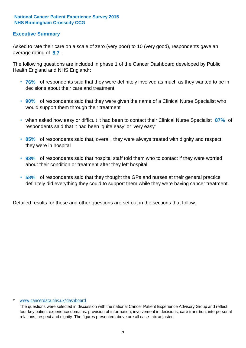#### **Executive Summary**

average rating of 8.7. Asked to rate their care on a scale of zero (very poor) to 10 (very good), respondents gave an

The following questions are included in phase 1 of the Cancer Dashboard developed by Public Health England and NHS England\*:

- **76%** of respondents said that they were definitely involved as much as they wanted to be in decisions about their care and treatment
- **90%** of respondents said that they were given the name of a Clinical Nurse Specialist who would support them through their treatment
- when asked how easy or difficult it had been to contact their Clinical Nurse Specialist 87% of respondents said that it had been 'quite easy' or 'very easy'
- **85%** of respondents said that, overall, they were always treated with dignity and respect they were in hospital
- **93%** of respondents said that hospital staff told them who to contact if they were worried about their condition or treatment after they left hospital
- **58%** of respondents said that they thought the GPs and nurses at their general practice definitely did everything they could to support them while they were having cancer treatment.

Detailed results for these and other questions are set out in the sections that follow.

#### \* www.cancerdata.nhs.uk/dashboard

The questions were selected in discussion with the national Cancer Patient Experience Advisory Group and reflect four key patient experience domains: provision of information; involvement in decisions; care transition; interpersonal relations, respect and dignity. The figures presented above are all case-mix adjusted.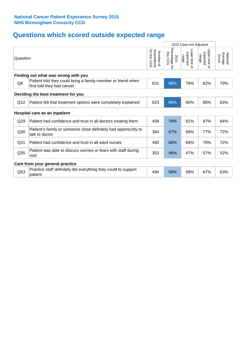# **Questions which scored outside expected range**

|                 |                                                                                            |                                              | 2015 Case-mix Adjusted             |                                     |                                        |                              |
|-----------------|--------------------------------------------------------------------------------------------|----------------------------------------------|------------------------------------|-------------------------------------|----------------------------------------|------------------------------|
| Question        |                                                                                            | for this<br>respondents<br>Number of<br>င္ပင | Percentage for<br>this CCG<br>2015 | Lower limit of<br>expected<br>range | Upper limit<br>expected<br>range<br>₫. | National<br>Average<br>Score |
|                 | Finding out what was wrong with you                                                        |                                              |                                    |                                     |                                        |                              |
| Q8              | Patient told they could bring a family member or friend when<br>first told they had cancer | 631                                          | 88%                                | 76%                                 | 82%                                    | 79%                          |
|                 | Deciding the best treatment for you                                                        |                                              |                                    |                                     |                                        |                              |
| Q12             | Patient felt that treatment options were completely explained                              | 623                                          | 86%                                | 80%                                 | 86%                                    | 83%                          |
|                 | Hospital care as an inpatient                                                              |                                              |                                    |                                     |                                        |                              |
| Q29             | Patient had confidence and trust in all doctors treating them                              | 458                                          | 79%                                | 81%                                 | 87%                                    | 84%                          |
| Q30             | Patient's family or someone close definitely had opportunity to<br>talk to doctor          | 384                                          | 67%                                | 68%                                 | 77%                                    | 72%                          |
| Q31             | Patient had confidence and trust in all ward nurses                                        | 460                                          | 68%                                | 68%                                 | 76%                                    | 72%                          |
| Q <sub>35</sub> | Patient was able to discuss worries or fears with staff during<br>visit                    | 353                                          | 46%                                | 47%                                 | 57%                                    | 52%                          |
|                 | Care from your general practice                                                            |                                              |                                    |                                     |                                        |                              |
| Q <sub>53</sub> | Practice staff definitely did everything they could to support<br>patient                  | 494                                          | 58%                                | 58%                                 | 67%                                    | 63%                          |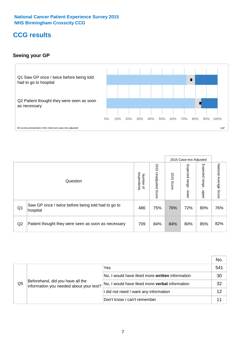### **CCG results**

#### **Seeing your GP**



|    |                                                                |                                                     |                             |               | 2015 Case-mix Adjusted     |                            |                           |
|----|----------------------------------------------------------------|-----------------------------------------------------|-----------------------------|---------------|----------------------------|----------------------------|---------------------------|
|    | Question                                                       | respondents<br><b>Number</b><br>$\overline{\sigma}$ | 2015<br>Unadjusted<br>Score | 2015<br>Score | Expected<br>range<br>lower | Expected<br>range<br>nbber | National Average<br>Score |
| Q1 | Saw GP once / twice before being told had to go to<br>hospital | 486                                                 | 75%                         | 76%           | 72%                        | 80%                        | 76%                       |
| Q2 | Patient thought they were seen as soon as necessary            | 709                                                 | 84%                         | 84%           | 80%                        | 85%                        | 82%                       |

|                |                                                                             |                                                       | No. |
|----------------|-----------------------------------------------------------------------------|-------------------------------------------------------|-----|
| Q <sub>5</sub> | Beforehand, did you have all the<br>information you needed about your test? | Yes                                                   | 541 |
|                |                                                                             | No, I would have liked more written information       | 30  |
|                |                                                                             | No, I would have liked more <b>verbal</b> information | 32  |
|                |                                                                             | I did not need / want any information                 | 12  |
|                |                                                                             | Don't know / can't remember                           |     |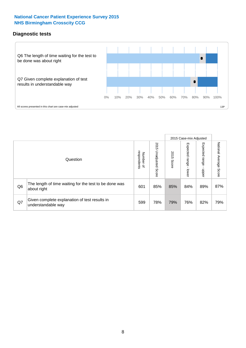#### **Diagnostic tests**



|                |                                                                       |                                       |                             |               | 2015 Case-mix Adjusted       |                         |                           |
|----------------|-----------------------------------------------------------------------|---------------------------------------|-----------------------------|---------------|------------------------------|-------------------------|---------------------------|
|                | Question                                                              | respondents<br>Number<br>$\mathbf{Q}$ | 2015<br>Unadjusted<br>Score | 2015<br>Score | Expected<br>I range<br>lower | Expected range<br>nbber | National Average<br>Score |
| Q <sub>6</sub> | The length of time waiting for the test to be done was<br>about right | 601                                   | 85%                         | 85%           | 84%                          | 89%                     | 87%                       |
| Q7             | Given complete explanation of test results in<br>understandable way   | 599                                   | 78%                         | 79%           | 76%                          | 82%                     | 79%                       |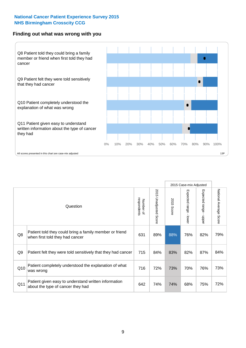#### **Finding out what was wrong with you**



|     |                                                                                            |                          |                          |               | 2015 Case-mix Adjusted                    |                           |                        |
|-----|--------------------------------------------------------------------------------------------|--------------------------|--------------------------|---------------|-------------------------------------------|---------------------------|------------------------|
|     | Question                                                                                   | respondents<br>Number of | 2015 Unadjusted<br>Score | 2015<br>Score | Expected range<br>$\blacksquare$<br>lower | Expected range -<br>nbber | National Average Score |
| Q8  | Patient told they could bring a family member or friend<br>when first told they had cancer | 631                      | 89%                      | 88%           | 76%                                       | 82%                       | 79%                    |
| Q9  | Patient felt they were told sensitively that they had cancer                               | 715                      | 84%                      | 83%           | 82%                                       | 87%                       | 84%                    |
| Q10 | Patient completely understood the explanation of what<br>was wrong                         | 716                      | 72%                      | 73%           | 70%                                       | 76%                       | 73%                    |
| Q11 | Patient given easy to understand written information<br>about the type of cancer they had  | 642                      | 74%                      | 74%           | 68%                                       | 75%                       | 72%                    |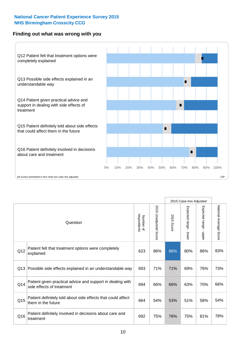#### **Finding out what was wrong with you**



|     |                                                                                         |                          |                          |               | 2015 Case-mix Adjusted                    |                           |                        |
|-----|-----------------------------------------------------------------------------------------|--------------------------|--------------------------|---------------|-------------------------------------------|---------------------------|------------------------|
|     | Question                                                                                | Number of<br>respondents | 2015<br>Unadjusted Score | 2015<br>Score | Expected range<br>$\blacksquare$<br>lower | Expected range -<br>nbber | National Average Score |
| Q12 | Patient felt that treatment options were completely<br>explained                        | 623                      | 86%                      | 86%           | 80%                                       | 86%                       | 83%                    |
| Q13 | Possible side effects explained in an understandable way                                | 693                      | 71%                      | 71%           | 69%                                       | 76%                       | 73%                    |
| Q14 | Patient given practical advice and support in dealing with<br>side effects of treatment | 694                      | 66%                      | 66%           | 63%                                       | 70%                       | 66%                    |
| Q15 | Patient definitely told about side effects that could affect<br>them in the future      | 664                      | 54%                      | 53%           | 51%                                       | 58%                       | 54%                    |
| Q16 | Patient definitely involved in decisions about care and<br>treatment                    | 692                      | 75%                      | 76%           | 75%                                       | 81%                       | 78%                    |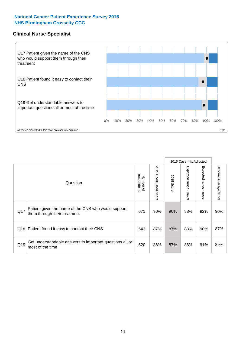#### **Clinical Nurse Specialist**



|     |                                                                                     |                          |                       |               | 2015 Case-mix Adjusted  |                         |                           |
|-----|-------------------------------------------------------------------------------------|--------------------------|-----------------------|---------------|-------------------------|-------------------------|---------------------------|
|     | Question                                                                            | respondents<br>Number of | 2015 Unadjusted Score | 2015<br>Score | Expected range<br>lower | Expected range<br>nbber | National Average<br>Score |
| Q17 | Patient given the name of the CNS who would support<br>them through their treatment | 671                      | 90%                   | 90%           | 88%                     | 92%                     | 90%                       |
| Q18 | Patient found it easy to contact their CNS                                          | 543                      | 87%                   | 87%           | 83%                     | 90%                     | 87%                       |
| Q19 | Get understandable answers to important questions all or<br>most of the time        | 520                      | 86%                   | 87%           | 86%                     | 91%                     | 89%                       |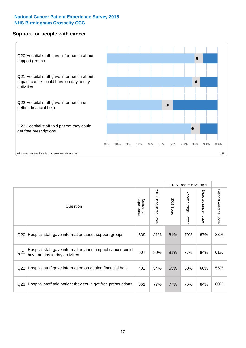#### **Support for people with cancer**



|                 |                                                                                            |                          |                                 |               | 2015 Case-mix Adjusted                    |                           |                        |
|-----------------|--------------------------------------------------------------------------------------------|--------------------------|---------------------------------|---------------|-------------------------------------------|---------------------------|------------------------|
|                 | Question                                                                                   | respondents<br>Number of | 2015<br><b>Unadjusted Score</b> | 2015<br>Score | Expected range<br>$\blacksquare$<br>lower | Expected range<br>- nbbeu | National Average Score |
| Q <sub>20</sub> | Hospital staff gave information about support groups                                       | 539                      | 81%                             | 81%           | 79%                                       | 87%                       | 83%                    |
| Q <sub>21</sub> | Hospital staff gave information about impact cancer could<br>have on day to day activities | 507                      | 80%                             | 81%           | 77%                                       | 84%                       | 81%                    |
| Q <sub>22</sub> | Hospital staff gave information on getting financial help                                  | 402                      | 54%                             | 55%           | 50%                                       | 60%                       | 55%                    |
| Q <sub>23</sub> | Hospital staff told patient they could get free prescriptions                              | 361                      | 77%                             | 77%           | 76%                                       | 84%                       | 80%                    |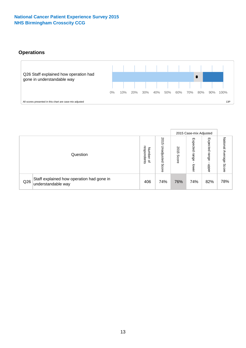#### **Operations**



|     |                                                                 |                                         |                             |               | 2015 Case-mix Adjusted     |                           |                              |
|-----|-----------------------------------------------------------------|-----------------------------------------|-----------------------------|---------------|----------------------------|---------------------------|------------------------------|
|     | Question                                                        | respondents<br>Number<br>$\overline{a}$ | 2015<br>Unadjusted<br>Score | 2015<br>Score | Expected<br>range<br>lower | Expected<br>range<br>ddoe | National<br>Average<br>Score |
| Q26 | Staff explained how operation had gone in<br>understandable way | 406                                     | 74%                         | 76%           | 74%                        | 82%                       | 78%                          |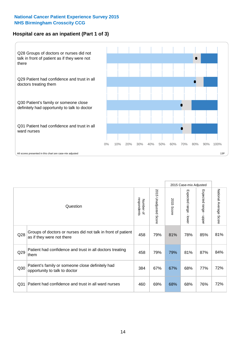#### **Hospital care as an inpatient (Part 1 of 3)**



All scores presented in this chart are case-mix adjusted  $13P$ 

|                 |                                                                                           |                          |                          |                      | 2015 Case-mix Adjusted                  |                                       |                        |
|-----------------|-------------------------------------------------------------------------------------------|--------------------------|--------------------------|----------------------|-----------------------------------------|---------------------------------------|------------------------|
|                 | Question                                                                                  | respondents<br>Number of | 2015<br>Unadjusted Score | 2015<br><b>Score</b> | Expected range<br>$\mathbf{I}$<br>lower | Expected range<br>$\mathbf{I}$<br>ddo | National Average Score |
| Q28             | Groups of doctors or nurses did not talk in front of patient<br>as if they were not there | 458                      | 79%                      | 81%                  | 78%                                     | 85%                                   | 81%                    |
| Q29             | Patient had confidence and trust in all doctors treating<br>them                          | 458                      | 79%                      | 79%                  | 81%                                     | 87%                                   | 84%                    |
| Q30             | Patient's family or someone close definitely had<br>opportunity to talk to doctor         | 384                      | 67%                      | 67%                  | 68%                                     | 77%                                   | 72%                    |
| Q <sub>31</sub> | Patient had confidence and trust in all ward nurses                                       | 460                      | 69%                      | 68%                  | 68%                                     | 76%                                   | 72%                    |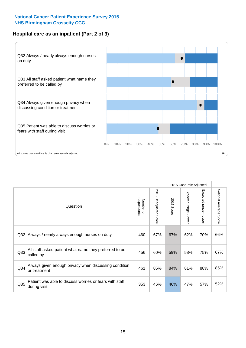#### **Hospital care as an inpatient (Part 2 of 3)**



|                 |                                                                         |                          |                       |               | 2015 Case-mix Adjusted  |                                           |                        |
|-----------------|-------------------------------------------------------------------------|--------------------------|-----------------------|---------------|-------------------------|-------------------------------------------|------------------------|
|                 | Question                                                                | respondents<br>Number of | 2015 Unadjusted Score | 2015<br>Score | Expected range<br>lower | Expected range<br>$\blacksquare$<br>nbber | National Average Score |
| Q32             | Always / nearly always enough nurses on duty                            | 460                      | 67%                   | 67%           | 62%                     | 70%                                       | 66%                    |
| Q33             | All staff asked patient what name they preferred to be<br>called by     | 456                      | 60%                   | 59%           | 58%                     | 75%                                       | 67%                    |
| Q <sub>34</sub> | Always given enough privacy when discussing condition<br>or treatment   | 461                      | 85%                   | 84%           | 81%                     | 88%                                       | 85%                    |
| Q <sub>35</sub> | Patient was able to discuss worries or fears with staff<br>during visit | 353                      | 46%                   | 46%           | 47%                     | 57%                                       | 52%                    |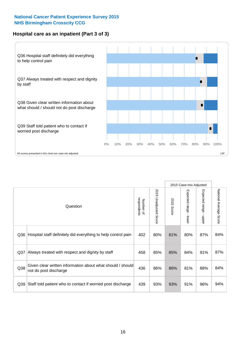#### **Hospital care as an inpatient (Part 3 of 3)**



|                 |                                                                                     |                          |                                 |               | 2015 Case-mix Adjusted                  |                           |                        |
|-----------------|-------------------------------------------------------------------------------------|--------------------------|---------------------------------|---------------|-----------------------------------------|---------------------------|------------------------|
|                 | Question                                                                            | respondents<br>Number of | 2015<br><b>Unadjusted Score</b> | 2015<br>Score | Expected range<br>$\mathbf{r}$<br>lower | Expected range<br>- nbber | National Average Score |
| Q36             | Hospital staff definitely did everything to help control pain                       | 402                      | 80%                             | 81%           | 80%                                     | 87%                       | 84%                    |
| Q <sub>37</sub> | Always treated with respect and dignity by staff                                    | 458                      | 85%                             | 85%           | 84%                                     | 91%                       | 87%                    |
| Q38             | Given clear written information about what should / should<br>not do post discharge | 436                      | 86%                             | 86%           | 81%                                     | 88%                       | 84%                    |
| Q <sub>39</sub> | Staff told patient who to contact if worried post discharge                         | 439                      | 93%                             | 93%           | 91%                                     | 96%                       | 94%                    |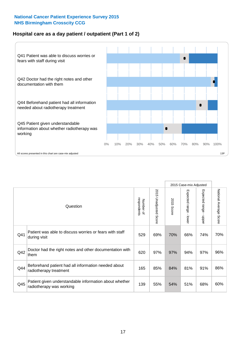#### **Hospital care as a day patient / outpatient (Part 1 of 2)**



|     |                                                                                    |                          |                          | 2015 Case-mix Adjusted |                                         |                                           |                        |
|-----|------------------------------------------------------------------------------------|--------------------------|--------------------------|------------------------|-----------------------------------------|-------------------------------------------|------------------------|
|     | Question                                                                           | respondents<br>Number of | 2015<br>Unadjusted Score | 2015<br>Score          | Expected range<br>$\mathbf{r}$<br>lower | Expected range<br>$\blacksquare$<br>nbber | National Average Score |
| Q41 | Patient was able to discuss worries or fears with staff<br>during visit            | 529                      | 69%                      | 70%                    | 66%                                     | 74%                                       | 70%                    |
| Q42 | Doctor had the right notes and other documentation with<br>them                    | 620                      | 97%                      | 97%                    | 94%                                     | 97%                                       | 96%                    |
| Q44 | Beforehand patient had all information needed about<br>radiotherapy treatment      | 165                      | 85%                      | 84%                    | 81%                                     | 91%                                       | 86%                    |
| Q45 | Patient given understandable information about whether<br>radiotherapy was working | 139                      | 55%                      | 54%                    | 51%                                     | 68%                                       | 60%                    |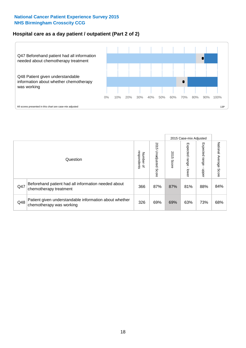#### **Hospital care as a day patient / outpatient (Part 2 of 2)**



|     |                                                                                    |                                       |                             | 2015 Case-mix Adjusted |                              |                         |                           |
|-----|------------------------------------------------------------------------------------|---------------------------------------|-----------------------------|------------------------|------------------------------|-------------------------|---------------------------|
|     | Question                                                                           | respondents<br>Number<br>$\mathbf{Q}$ | 2015<br>Unadjusted<br>Score | 2015<br>Score          | Expected<br>I range<br>lower | Expected range<br>doper | National Average<br>Score |
| Q47 | Beforehand patient had all information needed about<br>chemotherapy treatment      | 366                                   | 87%                         | 87%                    | 81%                          | 88%                     | 84%                       |
| Q48 | Patient given understandable information about whether<br>chemotherapy was working | 326                                   | 69%                         | 69%                    | 63%                          | 73%                     | 68%                       |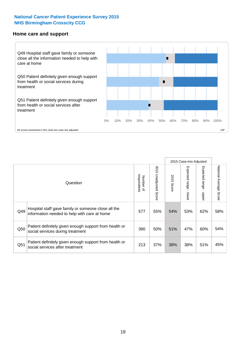#### **Home care and support**



All scores presented in this chart are case-mix adjusted

|                 |                                                                                                     |                          |                          | 2015 Case-mix Adjusted |                         |                         |                        |
|-----------------|-----------------------------------------------------------------------------------------------------|--------------------------|--------------------------|------------------------|-------------------------|-------------------------|------------------------|
|                 | Question                                                                                            | respondents<br>Number of | 2015<br>Unadjusted Score | 2015<br>Score          | Expected range<br>lower | Expected range<br>nbber | National Average Score |
| Q49             | Hospital staff gave family or someone close all the<br>information needed to help with care at home | 577                      | 55%                      | 54%                    | 53%                     | 62%                     | 58%                    |
| Q50             | Patient definitely given enough support from health or<br>social services during treatment          | 390                      | 50%                      | 51%                    | 47%                     | 60%                     | 54%                    |
| Q <sub>51</sub> | Patient definitely given enough support from health or<br>social services after treatment           | 213                      | 37%                      | 38%                    | 38%                     | 51%                     | 45%                    |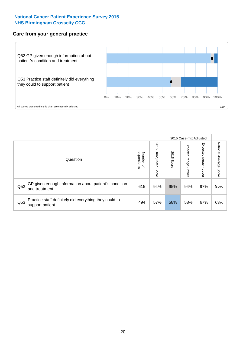#### **Care from your general practice**



|     |                                                                           |                                       |                             | 2015 Case-mix Adjusted |                         |                         |                           |
|-----|---------------------------------------------------------------------------|---------------------------------------|-----------------------------|------------------------|-------------------------|-------------------------|---------------------------|
|     | Question                                                                  | respondents<br>Number<br>$\mathbf{Q}$ | 2015<br>Unadjusted<br>Score | 2015<br>Score          | Expected range<br>lower | Expected range<br>doper | National Average<br>Score |
| Q52 | GP given enough information about patient's condition<br>and treatment    | 615                                   | 94%                         | 95%                    | 94%                     | 97%                     | 95%                       |
| Q53 | Practice staff definitely did everything they could to<br>support patient | 494                                   | 57%                         | 58%                    | 58%                     | 67%                     | 63%                       |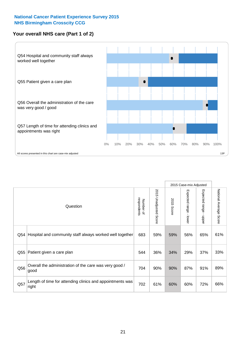#### **Your overall NHS care (Part 1 of 2)**



|     |                                                                    |                          |                          | 2015 Case-mix Adjusted |                                           |                                           |                        |
|-----|--------------------------------------------------------------------|--------------------------|--------------------------|------------------------|-------------------------------------------|-------------------------------------------|------------------------|
|     | Question                                                           | respondents<br>Number of | 2015<br>Unadjusted Score | 2015<br><b>Score</b>   | Expected range<br>$\blacksquare$<br>lower | Expected range<br>$\blacksquare$<br>nbber | National Average Score |
| Q54 | Hospital and community staff always worked well together           | 683                      | 59%                      | 59%                    | 56%                                       | 65%                                       | 61%                    |
| Q55 | Patient given a care plan                                          | 544                      | 36%                      | 34%                    | 29%                                       | 37%                                       | 33%                    |
| Q56 | Overall the administration of the care was very good /<br>good     | 704                      | 90%                      | 90%                    | 87%                                       | 91%                                       | 89%                    |
| Q57 | Length of time for attending clinics and appointments was<br>right | 702                      | 61%                      | 60%                    | 60%                                       | 72%                                       | 66%                    |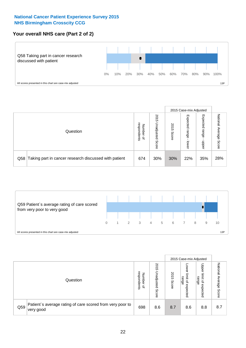#### **Your overall NHS care (Part 2 of 2)**



|     |                                                       |                                         |                             |               |                            | 2015 Case-mix Adjusted     |                           |  |
|-----|-------------------------------------------------------|-----------------------------------------|-----------------------------|---------------|----------------------------|----------------------------|---------------------------|--|
|     | Question                                              | respondents<br>Number<br>$\overline{a}$ | 2015<br>Unadjusted<br>Score | 2015<br>Score | Expected<br>range<br>lower | Expected<br>range<br>doper | National<br>Average Score |  |
| Q58 | Taking part in cancer research discussed with patient | 674                                     | 30%                         | 30%           | 22%                        | 35%                        | 28%                       |  |



|     |                                                                        |                                              |                             |               |                                         | 2015 Case-mix Adjusted                   |                              |
|-----|------------------------------------------------------------------------|----------------------------------------------|-----------------------------|---------------|-----------------------------------------|------------------------------------------|------------------------------|
|     | Question                                                               | respondents<br>Number<br>$\overline{\sigma}$ | 2015<br>Jnadjusted<br>Score | 2015<br>Score | OWer<br>limit<br>range<br>₽<br>expected | Upper<br>limit<br>range<br>õ<br>expected | National<br>Average<br>Score |
| Q59 | Patient's average rating of care scored from very poor to<br>very good | 698                                          | 8.6                         | 8.7           | 8.6                                     | 8.8                                      | 8.7                          |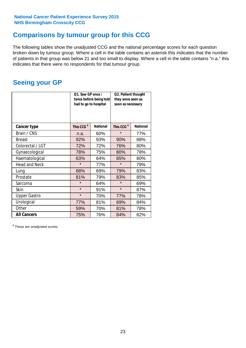### **Comparisons by tumour group for this CCG**

The following tables show the unadjusted CCG and the national percentage scores for each question broken down by tumour group. Where a cell in the table contains an asterisk this indicates that the number of patients in that group was below 21 and too small to display. Where a cell in the table contains "n.a." this indicates that there were no respondents for that tumour group.

### **Seeing your GP**

|                      | Q1. Saw GP once /<br>had to go to hospital | twice before being told | Q2. Patient thought<br>they were seen as<br>soon as necessary |                 |  |
|----------------------|--------------------------------------------|-------------------------|---------------------------------------------------------------|-----------------|--|
| <b>Cancer type</b>   | This CCG <sup>\$</sup>                     | <b>National</b>         | This CCG <sup>\$</sup>                                        | <b>National</b> |  |
| Brain / CNS          | n.a.                                       | 60%                     | $\star$                                                       | 77%             |  |
| <b>Breast</b>        | 92%                                        | 93%                     | 90%                                                           | 88%             |  |
| Colorectal / LGT     | 72%                                        | 72%                     | 76%                                                           | 80%             |  |
| Gynaecological       | 78%                                        | 75%                     | 80%                                                           | 78%             |  |
| Haematological       | 63%                                        | 64%                     | 85%                                                           | 80%             |  |
| <b>Head and Neck</b> | $\star$                                    | 77%                     | $\star$                                                       | 79%             |  |
| Lung                 | 68%                                        | 69%                     | 79%                                                           | 83%             |  |
| Prostate             | 81%                                        | 79%                     | 83%                                                           | 85%             |  |
| Sarcoma              | $\star$                                    | 64%                     | $\star$                                                       | 69%             |  |
| <b>Skin</b>          | $\star$                                    | 91%                     | $\star$                                                       | 87%             |  |
| <b>Upper Gastro</b>  | $\star$                                    | 70%                     | 77%                                                           | 78%             |  |
| Urological           | 77%                                        | 81%                     | 89%                                                           | 84%             |  |
| Other                | 59%                                        | 70%                     | 81%                                                           | 78%             |  |
| <b>All Cancers</b>   | 75%                                        | 76%                     | 84%                                                           | 82%             |  |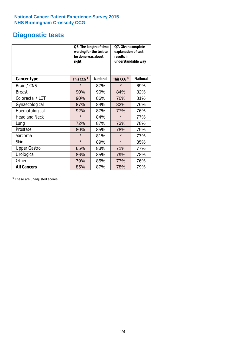### **Diagnostic tests**

|                      | be done was about<br>right | Q6. The length of time<br>waiting for the test to | Q7. Given complete<br>explanation of test<br>results in<br>understandable way |                 |  |
|----------------------|----------------------------|---------------------------------------------------|-------------------------------------------------------------------------------|-----------------|--|
| <b>Cancer type</b>   | This CCG <sup>\$</sup>     | <b>National</b>                                   | This CCG <sup>\$</sup>                                                        | <b>National</b> |  |
| Brain / CNS          | $\star$                    | 87%                                               | $\star$                                                                       | 69%             |  |
| <b>Breast</b>        | 90%                        | 90%                                               | 84%                                                                           | 82%             |  |
| Colorectal / LGT     | 90%                        | 86%                                               | 70%                                                                           | 81%             |  |
| Gynaecological       | 87%                        | 84%                                               | 82%                                                                           | 76%             |  |
| Haematological       | 92%                        | 87%                                               | 77%                                                                           | 76%             |  |
| <b>Head and Neck</b> | $\star$                    | 84%                                               | $\star$                                                                       | 77%             |  |
| Lung                 | 72%                        | 87%                                               | 73%                                                                           | 78%             |  |
| Prostate             | 80%                        | 85%                                               | 78%                                                                           | 79%             |  |
| Sarcoma              | $\star$                    | 81%                                               | $\star$                                                                       | 77%             |  |
| <b>Skin</b>          | $\star$                    | 89%                                               | $\star$                                                                       | 85%             |  |
| <b>Upper Gastro</b>  | 65%                        | 83%                                               | 71%                                                                           | 77%             |  |
| Urological           | 86%                        | 85%                                               | 79%                                                                           | 78%             |  |
| Other                | 79%                        | 85%                                               | 77%                                                                           | 76%             |  |
| <b>All Cancers</b>   | 85%                        | 87%                                               | 78%                                                                           | 79%             |  |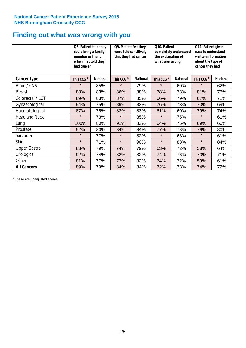### **Finding out what was wrong with you**

|                     | Q8. Patient told they<br>could bring a family<br>member or friend<br>when first told they<br>had cancer |                 | Q9. Patient felt they<br>were told sensitively<br>that they had cancer |                 | Q10. Patient<br>completely understood<br>the explanation of<br>what was wrong |                 | Q11. Patient given<br>easy to understand<br>written information<br>about the type of<br>cancer they had |                 |
|---------------------|---------------------------------------------------------------------------------------------------------|-----------------|------------------------------------------------------------------------|-----------------|-------------------------------------------------------------------------------|-----------------|---------------------------------------------------------------------------------------------------------|-----------------|
| Cancer type         | This CCG <sup>\$</sup>                                                                                  | <b>National</b> | This CCG <sup>\$</sup>                                                 | <b>National</b> | This CCG <sup>\$</sup>                                                        | <b>National</b> | This CCG <sup>\$</sup>                                                                                  | <b>National</b> |
| Brain / CNS         | $\star$                                                                                                 | 85%             | $\star$                                                                | 79%             | $\star$                                                                       | 60%             | $\star$                                                                                                 | 62%             |
| <b>Breast</b>       | 88%                                                                                                     | 83%             | 86%                                                                    | 88%             | 78%                                                                           | 78%             | 81%                                                                                                     | 76%             |
| Colorectal / LGT    | 89%                                                                                                     | 83%             | 87%                                                                    | 85%             | 66%                                                                           | 79%             | 67%                                                                                                     | 71%             |
| Gynaecological      | 94%                                                                                                     | 75%             | 89%                                                                    | 83%             | 76%                                                                           | 73%             | 73%                                                                                                     | 69%             |
| Haematological      | 87%                                                                                                     | 75%             | 83%                                                                    | 83%             | 61%                                                                           | 60%             | 79%                                                                                                     | 74%             |
| Head and Neck       | $\star$                                                                                                 | 73%             | $\star$                                                                | 85%             | $\star$                                                                       | 75%             | $\star$                                                                                                 | 61%             |
| Lung                | 100%                                                                                                    | 80%             | 91%                                                                    | 83%             | 64%                                                                           | 75%             | 69%                                                                                                     | 66%             |
| Prostate            | 92%                                                                                                     | 80%             | 84%                                                                    | 84%             | 77%                                                                           | 78%             | 79%                                                                                                     | 80%             |
| Sarcoma             | $\star$                                                                                                 | 77%             | $\star$                                                                | 82%             | $\star$                                                                       | 63%             | $\star$                                                                                                 | 61%             |
| Skin                | $\star$                                                                                                 | 71%             | $\star$                                                                | 90%             | $\star$                                                                       | 83%             | $\star$                                                                                                 | 84%             |
| <b>Upper Gastro</b> | 83%                                                                                                     | 79%             | 74%                                                                    | 79%             | 63%                                                                           | 72%             | 58%                                                                                                     | 64%             |
| Urological          | 92%                                                                                                     | 74%             | 82%                                                                    | 82%             | 74%                                                                           | 76%             | 73%                                                                                                     | 71%             |
| Other               | 81%                                                                                                     | 77%             | 77%                                                                    | 82%             | 74%                                                                           | 72%             | 59%                                                                                                     | 61%             |
| <b>All Cancers</b>  | 89%                                                                                                     | 79%             | 84%                                                                    | 84%             | 72%                                                                           | 73%             | 74%                                                                                                     | 72%             |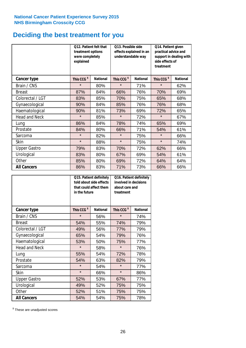### **Deciding the best treatment for you**

|                      | Q12. Patient felt that<br>treatment options<br>were completely<br>explained |                 | Q13. Possible side<br>understandable way | effects explained in an | Q14. Patient given<br>practical advice and<br>support in dealing with<br>side effects of<br>treatment<br>This CCG <sup>\$</sup> |                 |  |
|----------------------|-----------------------------------------------------------------------------|-----------------|------------------------------------------|-------------------------|---------------------------------------------------------------------------------------------------------------------------------|-----------------|--|
| <b>Cancer type</b>   | This CCG <sup>\$</sup>                                                      | <b>National</b> | This CCG <sup>\$</sup>                   | <b>National</b>         |                                                                                                                                 | <b>National</b> |  |
| Brain / CNS          | $\star$                                                                     | 80%             | $\star$                                  | 71%                     | $\star$                                                                                                                         | 62%             |  |
| <b>Breast</b>        | 87%                                                                         | 84%             | 66%                                      | 76%                     | 70%                                                                                                                             | 69%             |  |
| Colorectal / LGT     | 83%                                                                         | 85%             | 70%                                      | 75%                     | 65%                                                                                                                             | 68%             |  |
| Gynaecological       | 90%                                                                         | 84%             | 85%                                      | 76%                     | 76%                                                                                                                             | 68%             |  |
| Haematological       | 90%                                                                         | 81%             | 73%                                      | 69%                     | 72%                                                                                                                             | 65%             |  |
| <b>Head and Neck</b> | $\star$                                                                     | 85%             | $\star$                                  | 72%                     | $\star$                                                                                                                         | 67%             |  |
| Lung                 | 86%                                                                         | 84%             | 78%                                      | 74%                     | 65%                                                                                                                             | 69%             |  |
| Prostate             | 84%                                                                         | 80%             | 66%                                      | 71%                     | 54%                                                                                                                             | 61%             |  |
| Sarcoma              | $\star$                                                                     | 82%             | $\star$                                  | 75%                     | $\star$                                                                                                                         | 66%             |  |
| Skin                 | $\star$                                                                     | 88%             | $\star$                                  | 75%                     | $\star$                                                                                                                         | 74%             |  |
| <b>Upper Gastro</b>  | 79%                                                                         | 83%             | 70%                                      | 72%                     | 62%                                                                                                                             | 66%             |  |
| Urological           | 83%                                                                         | 80%             | 67%                                      | 69%                     | 54%                                                                                                                             | 61%             |  |
| Other                | 85%                                                                         | 80%             | 69%                                      | 72%                     | 64%                                                                                                                             | 64%             |  |
| <b>All Cancers</b>   | 86%                                                                         | 83%             | 71%                                      | 73%                     | 66%                                                                                                                             | 66%             |  |

|                      | in the future          | Q15. Patient definitely<br>told about side effects<br>that could affect them | Q16. Patient definitely<br>involved in decisions<br>about care and<br>treatment |                 |  |
|----------------------|------------------------|------------------------------------------------------------------------------|---------------------------------------------------------------------------------|-----------------|--|
| <b>Cancer type</b>   | This CCG <sup>\$</sup> | <b>National</b>                                                              | This CCG <sup>\$</sup>                                                          | <b>National</b> |  |
| Brain / CNS          | $\star$                | 56%                                                                          | $\star$                                                                         | 74%             |  |
| <b>Breast</b>        | 54%                    | 55%                                                                          | 74%                                                                             | 79%             |  |
| Colorectal / LGT     | 49%                    | 56%                                                                          | 77%                                                                             | 79%             |  |
| Gynaecological       | 54%<br>65%             |                                                                              | 79%                                                                             | 76%             |  |
| Haematological       | 53%                    | 50%                                                                          | 75%                                                                             | 77%             |  |
| <b>Head and Neck</b> | $\star$                | 58%                                                                          | $\star$                                                                         | 76%             |  |
| Lung                 | 55%                    | 54%                                                                          | 72%                                                                             | 78%             |  |
| Prostate             | 54%                    | 63%                                                                          | 82%                                                                             | 79%             |  |
| Sarcoma              | $\star$                | 54%                                                                          | $\star$                                                                         | 77%             |  |
| Skin                 | $\star$                | 66%                                                                          | $\star$                                                                         | 86%             |  |
| <b>Upper Gastro</b>  | 52%                    | 53%                                                                          | 67%                                                                             | 77%             |  |
| Urological           | 49%                    | 52%                                                                          | 75%                                                                             | 75%             |  |
| Other                | 52%                    | 51%                                                                          | 75%                                                                             | 75%             |  |
| <b>All Cancers</b>   | 54%                    | 54%                                                                          | 75%                                                                             | 78%             |  |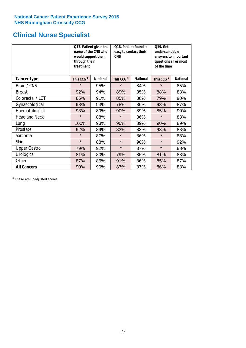## **Clinical Nurse Specialist**

|                      | would support them<br>through their<br>treatment | Q17. Patient given the<br>name of the CNS who | Q18. Patient found it<br>easy to contact their<br><b>CNS</b> |                 | <b>Q19. Get</b><br>understandable<br>answers to important<br>questions all or most<br>of the time |                 |
|----------------------|--------------------------------------------------|-----------------------------------------------|--------------------------------------------------------------|-----------------|---------------------------------------------------------------------------------------------------|-----------------|
| <b>Cancer type</b>   | This CCG <sup>\$</sup>                           | <b>National</b>                               | This CCG <sup>\$</sup>                                       | <b>National</b> | This CCG <sup>\$</sup>                                                                            | <b>National</b> |
| Brain / CNS          | $\star$                                          | 95%                                           | $\star$                                                      | 84%             | $\star$                                                                                           | 85%             |
| <b>Breast</b>        | 92%                                              | 94%                                           | 89%                                                          | 85%             | 88%                                                                                               | 88%             |
| Colorectal / LGT     | 85%                                              | 91%                                           | 85%                                                          | 88%             | 79%                                                                                               | 90%             |
| Gynaecological       | 98%                                              | 93%                                           | 78%                                                          | 86%             | 93%                                                                                               | 87%             |
| Haematological       | 93%                                              | 89%                                           | 90%                                                          | 89%             | 85%                                                                                               | 90%             |
| <b>Head and Neck</b> | $\star$                                          | 88%                                           | $\star$                                                      | 86%             | $\star$                                                                                           | 88%             |
| Lung                 | 100%                                             | 93%                                           | 90%                                                          | 89%             | 90%                                                                                               | 89%             |
| Prostate             | 92%                                              | 89%                                           | 83%                                                          | 83%             | 93%                                                                                               | 88%             |
| Sarcoma              | $\star$                                          | 87%                                           | $\star$                                                      | 86%             | $\star$                                                                                           | 88%             |
| Skin                 | $\star$                                          | 88%                                           | $\star$                                                      | 90%             | $\star$                                                                                           | 92%             |
| <b>Upper Gastro</b>  | 79%                                              | 92%                                           | $\star$                                                      | 87%             | $\star$                                                                                           | 88%             |
| Urological           | 81%                                              | 80%                                           | 79%                                                          | 85%             | 81%                                                                                               | 88%             |
| Other                | 87%                                              | 86%                                           | 91%                                                          | 86%             | 85%                                                                                               | 87%             |
| <b>All Cancers</b>   | 90%                                              | 90%                                           | 87%                                                          | 87%             | 86%                                                                                               | 88%             |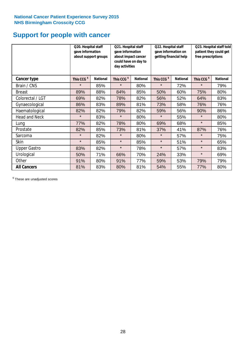### **Support for people with cancer**

|                      | Q20. Hospital staff<br>gave information | about support groups | Q21. Hospital staff<br>gave information<br>about impact cancer<br>could have on day to<br>day activities |                 | Q22. Hospital staff<br>gave information on<br>getting financial help |                 | Q23. Hospital staff told<br>patient they could get<br>free prescriptions |                 |
|----------------------|-----------------------------------------|----------------------|----------------------------------------------------------------------------------------------------------|-----------------|----------------------------------------------------------------------|-----------------|--------------------------------------------------------------------------|-----------------|
| <b>Cancer type</b>   | This CCG <sup>\$</sup>                  | <b>National</b>      | This CCG <sup>\$</sup>                                                                                   | <b>National</b> | This CCG <sup>\$</sup>                                               | <b>National</b> | This CCG <sup>\$</sup>                                                   | <b>National</b> |
| Brain / CNS          | $\star$                                 | 85%                  | $\star$                                                                                                  | 80%             | $\star$                                                              | 72%             | $\star$                                                                  | 79%             |
| <b>Breast</b>        | 89%                                     | 88%                  | 84%                                                                                                      | 85%             | 50%                                                                  | 60%             | 75%                                                                      | 80%             |
| Colorectal / LGT     | 69%                                     | 82%                  | 78%                                                                                                      | 82%             | 56%                                                                  | 52%             | 64%                                                                      | 83%             |
| Gynaecological       | 86%                                     | 83%                  | 89%                                                                                                      | 81%             | 73%                                                                  | 58%             | 76%                                                                      | 76%             |
| Haematological       | 82%                                     | 82%                  | 79%                                                                                                      | 82%             | 59%                                                                  | 56%             | 90%                                                                      | 86%             |
| <b>Head and Neck</b> | $\star$                                 | 83%                  | $\star$                                                                                                  | 80%             | $\star$                                                              | 55%             | $\star$                                                                  | 80%             |
| Lung                 | 77%                                     | 82%                  | 78%                                                                                                      | 80%             | 69%                                                                  | 68%             | $\star$                                                                  | 85%             |
| Prostate             | 82%                                     | 85%                  | 73%                                                                                                      | 81%             | 37%                                                                  | 41%             | 87%                                                                      | 76%             |
| Sarcoma              | $\star$                                 | 82%                  | $\star$                                                                                                  | 80%             | $\star$                                                              | 57%             | $\star$                                                                  | 75%             |
| Skin                 | $\star$                                 | 85%                  | $\star$                                                                                                  | 85%             | $\star$                                                              | 51%             | $\star$                                                                  | 65%             |
| <b>Upper Gastro</b>  | 83%                                     | 82%                  | $\star$                                                                                                  | 78%             | $\star$                                                              | 57%             | $\star$                                                                  | 83%             |
| Urological           | 50%                                     | 71%                  | 66%                                                                                                      | 70%             | 24%                                                                  | 33%             | $\star$                                                                  | 69%             |
| Other                | 91%                                     | 80%                  | 91%                                                                                                      | 77%             | 59%                                                                  | 53%             | 79%                                                                      | 79%             |
| <b>All Cancers</b>   | 81%                                     | 83%                  | 80%                                                                                                      | 81%             | 54%                                                                  | 55%             | 77%                                                                      | 80%             |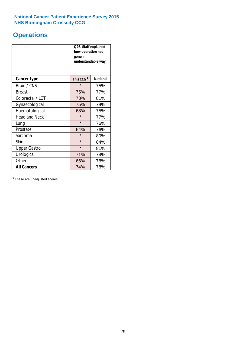### **Operations**

|                      | Q26. Staff explained<br>how operation had<br>gone in<br>understandable way |                 |  |  |
|----------------------|----------------------------------------------------------------------------|-----------------|--|--|
| <b>Cancer type</b>   | This CCG <sup>\$</sup>                                                     | <b>National</b> |  |  |
| Brain / CNS          | $\star$                                                                    | 75%             |  |  |
| <b>Breast</b>        | 75%                                                                        | 77%             |  |  |
| Colorectal / LGT     | 78%                                                                        | 81%             |  |  |
| Gynaecological       | 75%                                                                        | 79%             |  |  |
| Haematological       | 68%                                                                        | 75%             |  |  |
| <b>Head and Neck</b> | $\star$                                                                    | 77%             |  |  |
| Lung                 | $\star$                                                                    | 76%             |  |  |
| Prostate             | 64%                                                                        | 76%             |  |  |
| Sarcoma              | $\star$                                                                    | 80%             |  |  |
| Skin                 | $\star$                                                                    | 84%             |  |  |
| <b>Upper Gastro</b>  | $\star$                                                                    | 81%             |  |  |
| Urological           | 71%                                                                        | 74%             |  |  |
| Other                | 66%                                                                        | 78%             |  |  |
| <b>All Cancers</b>   | 74%                                                                        | 78%             |  |  |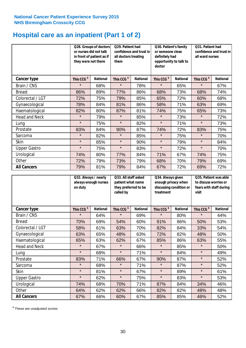### **Hospital care as an inpatient (Part 1 of 2)**

|                      | or nurses did not talk<br>they were not there | Q28. Groups of doctors<br>in front of patient as if | Q29. Patient had<br>confidence and trust in<br>all doctors treating<br>them |                 | Q30. Patient's family<br>or someone close<br>definitely had<br>opportunity to talk to<br>doctor |                 | Q31. Patient had<br>confidence and trust in I<br>all ward nurses |                 |
|----------------------|-----------------------------------------------|-----------------------------------------------------|-----------------------------------------------------------------------------|-----------------|-------------------------------------------------------------------------------------------------|-----------------|------------------------------------------------------------------|-----------------|
| <b>Cancer type</b>   | This CCG <sup>\$</sup>                        | <b>National</b>                                     | This CCG <sup>\$</sup>                                                      | <b>National</b> | This CCG <sup>\$</sup>                                                                          | <b>National</b> | This CCG <sup>\$</sup>                                           | <b>National</b> |
| Brain / CNS          | $\star$                                       | 68%                                                 | $\star$                                                                     | 78%             | $\star$                                                                                         | 65%             | $\star$                                                          | 67%             |
| <b>Breast</b>        | 86%                                           | 89%                                                 | 77%                                                                         | 86%             | 68%                                                                                             | 73%             | 68%                                                              | 74%             |
| Colorectal / LGT     | 72%                                           | 75%                                                 | 79%                                                                         | 85%             | 65%                                                                                             | 72%             | 60%                                                              | 68%             |
| Gynaecological       | 78%                                           | 84%                                                 | 81%                                                                         | 86%             | 58%                                                                                             | 71%             | 63%                                                              | 69%             |
| Haematological       | 82%                                           | 80%                                                 | 87%                                                                         | 81%             | 74%                                                                                             | 75%             | 65%                                                              | 73%             |
| <b>Head and Neck</b> | $\star$                                       | 79%                                                 | $\star$                                                                     | 85%             | $\star$                                                                                         | 73%             | $\star$                                                          | 72%             |
| Lung                 | $\star$                                       | 75%                                                 | $\star$                                                                     | 82%             | $\star$                                                                                         | 71%             | $\star$                                                          | 73%             |
| Prostate             | 83%                                           | 84%                                                 | 90%                                                                         | 87%             | 74%                                                                                             | 72%             | 83%                                                              | 75%             |
| Sarcoma              | $\star$                                       | 82%                                                 | $\star$                                                                     | 85%             | $\star$                                                                                         | 75%             | $\star$                                                          | 70%             |
| Skin                 | $\star$                                       | 85%                                                 | $\star$                                                                     | 90%             | $\star$                                                                                         | 79%             | $\star$                                                          | 84%             |
| <b>Upper Gastro</b>  | $\star$                                       | 75%                                                 | $\star$                                                                     | 83%             | $\star$                                                                                         | 72%             | $\star$                                                          | 70%             |
| Urological           | 74%                                           | 80%                                                 | 77%                                                                         | 84%             | 71%                                                                                             | 67%             | 74%                                                              | 75%             |
| Other                | 72%                                           | 79%                                                 | 73%                                                                         | 79%             | 68%                                                                                             | 70%             | 79%                                                              | 69%             |
| <b>All Cancers</b>   | 79%                                           | 81%                                                 | 79%                                                                         | 84%             | 67%                                                                                             | 72%             | 69%                                                              | 72%             |

|                      | Q32. Always / nearly<br>always enough nurses<br>on duty |                 | Q33. All staff asked<br>patient what name<br>they preferred to be<br>called by |                 | Q34. Always given<br>enough privacy when<br>discussing condition or<br>treatment |                 | Q35. Patient was able<br>to discuss worries or<br>fears with staff during<br>visit |                 |
|----------------------|---------------------------------------------------------|-----------------|--------------------------------------------------------------------------------|-----------------|----------------------------------------------------------------------------------|-----------------|------------------------------------------------------------------------------------|-----------------|
| <b>Cancer type</b>   | This CCG <sup>\$</sup>                                  | <b>National</b> | This CCG <sup>\$</sup>                                                         | <b>National</b> | This CCG <sup>\$</sup>                                                           | <b>National</b> | This CCG <sup>\$</sup>                                                             | <b>National</b> |
| Brain / CNS          | $\star$                                                 | 64%             | $\star$                                                                        | 69%             | $\star$                                                                          | 80%             | $\star$                                                                            | 44%             |
| <b>Breast</b>        | 70%                                                     | 69%             | 54%                                                                            | 60%             | 91%                                                                              | 86%             | 50%                                                                                | 53%             |
| Colorectal / LGT     | 58%                                                     | 61%             | 63%                                                                            | 70%             | 82%                                                                              | 84%             | 33%                                                                                | 54%             |
| Gynaecological       | 63%                                                     | 65%             | 48%                                                                            | 63%             | 72%                                                                              | 82%             | 48%                                                                                | 50%             |
| Haematological       | 65%                                                     | 63%             | 62%                                                                            | 67%             | 85%                                                                              | 86%             | 63%                                                                                | 55%             |
| <b>Head and Neck</b> | $\star$                                                 | 67%             | $\star$                                                                        | 66%             | $\star$                                                                          | 85%             | $\star$                                                                            | 50%             |
| Lung                 | $\star$                                                 | 68%             | $\star$                                                                        | 71%             | $\star$                                                                          | 84%             | $\star$                                                                            | 49%             |
| Prostate             | 83%                                                     | 71%             | 66%                                                                            | 67%             | 90%                                                                              | 87%             | $\star$                                                                            | 52%             |
| Sarcoma              | $\star$                                                 | 68%             | $\star$                                                                        | 71%             | $\star$                                                                          | 87%             | $\star$                                                                            | 52%             |
| Skin                 | $\star$                                                 | 81%             | $\star$                                                                        | 67%             | $\star$                                                                          | 89%             | $\star$                                                                            | 61%             |
| <b>Upper Gastro</b>  | $\star$                                                 | 62%             | $\star$                                                                        | 75%             | $\star$                                                                          | 83%             | $\star$                                                                            | 53%             |
| Urological           | 74%                                                     | 68%             | 70%                                                                            | 71%             | 87%                                                                              | 84%             | 34%                                                                                | 46%             |
| Other                | 64%                                                     | 62%             | 62%                                                                            | 66%             | 82%                                                                              | 82%             | 48%                                                                                | 48%             |
| <b>All Cancers</b>   | 67%                                                     | 66%             | 60%                                                                            | 67%             | 85%                                                                              | 85%             | 46%                                                                                | 52%             |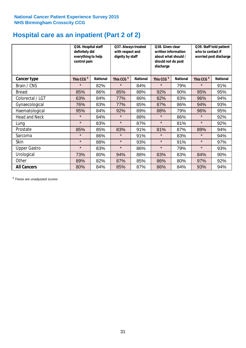### **Hospital care as an inpatient (Part 2 of 2)**

|                     | Q36. Hospital staff<br>definitely did<br>everything to help<br>control pain |                 | Q37. Always treated<br>with respect and<br>dignity by staff |                 | Q38. Given clear<br>written information<br>about what should /<br>should not do post<br>discharge |                 | Q39. Staff told patient<br>who to contact if<br>worried post discharge |                 |  |
|---------------------|-----------------------------------------------------------------------------|-----------------|-------------------------------------------------------------|-----------------|---------------------------------------------------------------------------------------------------|-----------------|------------------------------------------------------------------------|-----------------|--|
| Cancer type         | This CCG <sup>\$</sup>                                                      | <b>National</b> | This CCG <sup>\$</sup>                                      | <b>National</b> | This CCG <sup>\$</sup>                                                                            | <b>National</b> | This CCG <sup>\$</sup>                                                 | <b>National</b> |  |
| Brain / CNS         | $\star$                                                                     | 82%             | $\star$                                                     | 84%             | $\star$                                                                                           | 79%             | $\star$                                                                | 91%             |  |
| <b>Breast</b>       | 85%                                                                         | 86%             | 85%                                                         | 88%             | 92%                                                                                               | 90%             | 95%                                                                    | 95%             |  |
| Colorectal / LGT    | 63%                                                                         | 84%             | 77%                                                         | 86%             | 82%                                                                                               | 83%             | 96%                                                                    | 94%             |  |
| Gynaecological      | 76%                                                                         | 83%             | 77%                                                         | 85%             | 87%                                                                                               | 86%             | 94%                                                                    | 93%             |  |
| Haematological      | 95%                                                                         | 84%             | 92%                                                         | 89%             | 88%                                                                                               | 79%             | 96%                                                                    | 95%             |  |
| Head and Neck       | $\star$                                                                     | 84%             | $\star$                                                     | 88%             | $\star$                                                                                           | 86%             | $\star$                                                                | 92%             |  |
| Lung                | $\star$                                                                     | 83%             | $\star$                                                     | 87%             | $\star$                                                                                           | 81%             | $\star$                                                                | 92%             |  |
| Prostate            | 85%                                                                         | 85%             | 83%                                                         | 91%             | 81%                                                                                               | 87%             | 89%                                                                    | 94%             |  |
| Sarcoma             | $\star$                                                                     | 86%             | $\star$                                                     | 91%             | $\star$                                                                                           | 83%             | $\star$                                                                | 94%             |  |
| Skin                | $\star$                                                                     | 88%             | $\star$                                                     | 93%             | $\star$                                                                                           | 91%             | $\star$                                                                | 97%             |  |
| <b>Upper Gastro</b> | $\star$                                                                     | 83%             | $\star$                                                     | 86%             | $\star$                                                                                           | 79%             | $\star$                                                                | 93%             |  |
| Urological          | 73%                                                                         | 80%             | 94%                                                         | 88%             | 83%                                                                                               | 83%             | 84%                                                                    | 90%             |  |
| Other               | 89%                                                                         | 82%             | 87%                                                         | 85%             | 86%                                                                                               | 80%             | 97%                                                                    | 92%             |  |
| <b>All Cancers</b>  | 80%                                                                         | 84%             | 85%                                                         | 87%             | 86%                                                                                               | 84%             | 93%                                                                    | 94%             |  |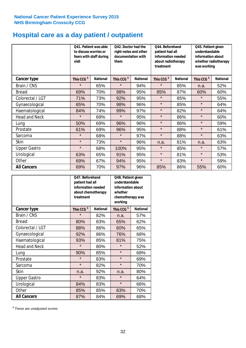### **Hospital care as a day patient / outpatient**

|                      | to discuss worries or<br>visit | Q41. Patient was able<br>fears with staff during | Q42. Doctor had the<br>right notes and other<br>documentation with<br>them |                 | Q44. Beforehand<br>patient had all<br>information needed<br>about radiotherapy<br>treatment |                 | Q45. Patient given<br>understandable<br>information about<br>whether radiotherapy<br>was working |                 |
|----------------------|--------------------------------|--------------------------------------------------|----------------------------------------------------------------------------|-----------------|---------------------------------------------------------------------------------------------|-----------------|--------------------------------------------------------------------------------------------------|-----------------|
| Cancer type          | This CCG <sup>\$</sup>         | <b>National</b>                                  | This CCG <sup>\$</sup>                                                     | <b>National</b> | This CCG <sup>\$</sup>                                                                      | <b>National</b> | This CCG <sup>\$</sup>                                                                           | <b>National</b> |
| Brain / CNS          | $\star$                        | 65%                                              | $\star$                                                                    | 94%             | $\star$                                                                                     | 85%             | n.a.                                                                                             | 52%             |
| <b>Breast</b>        | 69%                            | 70%                                              | 98%                                                                        | 95%             | 85%                                                                                         | 87%             | 60%                                                                                              | 60%             |
| Colorectal / LGT     | 71%                            | 73%                                              | 92%                                                                        | 95%             | $\star$                                                                                     | 85%             | $\star$                                                                                          | 55%             |
| Gynaecological       | 65%                            | 70%                                              | 98%                                                                        | 96%             | $\star$                                                                                     | 85%             | $\star$                                                                                          | 64%             |
| Haematological       | 84%                            | 74%                                              | 99%                                                                        | 97%             | $\star$                                                                                     | 82%             | $\star$                                                                                          | 64%             |
| <b>Head and Neck</b> | $\star$                        | 69%                                              | $\star$                                                                    | 95%             | $\star$                                                                                     | 86%             | $\star$                                                                                          | 60%             |
| Lung                 | 50%                            | 69%                                              | 96%                                                                        | 96%             | $\star$                                                                                     | 86%             | $\star$                                                                                          | 59%             |
| Prostate             | 61%                            | 69%                                              | 96%                                                                        | 95%             | $\star$                                                                                     | 88%             | $\star$                                                                                          | 61%             |
| Sarcoma              | $\star$                        | 68%                                              | $\star$                                                                    | 97%             | $\star$                                                                                     | 88%             | $\star$                                                                                          | 63%             |
| Skin                 | $\star$                        | 73%                                              | $\star$                                                                    | 96%             | n.a.                                                                                        | 81%             | n.a.                                                                                             | 63%             |
| <b>Upper Gastro</b>  | $\star$                        | 68%                                              | 100%                                                                       | 95%             | $\star$                                                                                     | 85%             | $\star$                                                                                          | 57%             |
| Urological           | 63%                            | 65%                                              | 91%                                                                        | 95%             | $\star$                                                                                     | 81%             | $\star$                                                                                          | 53%             |
| Other                | 69%                            | 67%                                              | 94%                                                                        | 95%             | $\star$                                                                                     | 83%             | $\star$                                                                                          | 59%             |
| <b>All Cancers</b>   | 69%                            | 70%                                              | 97%                                                                        | 96%             | 85%                                                                                         | 86%             | 55%                                                                                              | 60%             |

|                      | Q47. Beforehand<br>patient had all<br>information needed<br>about chemotherapy<br>treatment |                 | Q48. Patient given<br>understandable<br>information about<br>whether<br>chemotherapy was<br>working |                 |  |
|----------------------|---------------------------------------------------------------------------------------------|-----------------|-----------------------------------------------------------------------------------------------------|-----------------|--|
| <b>Cancer type</b>   | This CCG <sup>\$</sup>                                                                      | <b>National</b> | This CCG <sup>\$</sup>                                                                              | <b>National</b> |  |
| Brain / CNS          | $\star$                                                                                     | 82%             | n.a.                                                                                                | 57%             |  |
| <b>Breast</b>        | 80%                                                                                         | 83%             | 65%                                                                                                 | 62%             |  |
| Colorectal / LGT     | 88%                                                                                         | 86%             | 60%                                                                                                 | 65%             |  |
| Gynaecological       | 92%                                                                                         | 86%             | 76%                                                                                                 | 68%             |  |
| Haematological       | 93%<br>85%                                                                                  |                 | 81%                                                                                                 | 75%             |  |
| <b>Head and Neck</b> | $\star$                                                                                     | 80%             | $\star$                                                                                             | 52%             |  |
| Lung                 | 90%                                                                                         | 85%             | $\star$                                                                                             | 68%             |  |
| Prostate             | $\star$                                                                                     | 83%             | $\star$                                                                                             | 69%             |  |
| Sarcoma              | $\star$                                                                                     | 82%             | $\star$                                                                                             | 70%             |  |
| <b>Skin</b>          | n.a.                                                                                        | 92%             | n.a.                                                                                                | 80%             |  |
| <b>Upper Gastro</b>  | $\star$                                                                                     | 83%             | $\star$                                                                                             | 64%             |  |
| Urological           | 84%                                                                                         | 83%             | $\star$                                                                                             | 66%             |  |
| Other                | 85%                                                                                         | 85%             | 83%                                                                                                 | 70%             |  |
| <b>All Cancers</b>   | 87%                                                                                         | 84%             | 69%                                                                                                 | 68%             |  |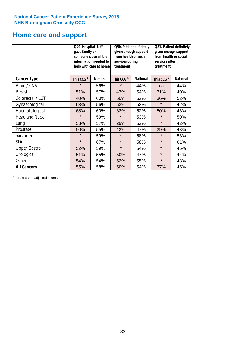### **Home care and support**

|                      | Q49. Hospital staff<br>gave family or | someone close all the<br>information needed to<br>help with care at home | Q50. Patient definitely<br>given enough support<br>from health or social<br>services during<br>treatment |                 | Q51. Patient definitely<br>given enough support<br>from health or social<br>services after<br>treatment |                 |
|----------------------|---------------------------------------|--------------------------------------------------------------------------|----------------------------------------------------------------------------------------------------------|-----------------|---------------------------------------------------------------------------------------------------------|-----------------|
| <b>Cancer type</b>   | This CCG <sup>\$</sup>                | <b>National</b>                                                          | This CCG <sup>\$</sup>                                                                                   | <b>National</b> | This CCG <sup>\$</sup>                                                                                  | <b>National</b> |
| Brain / CNS          | $\star$                               | 56%                                                                      | $\star$                                                                                                  | 44%             | n.a.                                                                                                    | 44%             |
| <b>Breast</b>        | 51%                                   | 57%                                                                      | 47%                                                                                                      | 54%             | 31%                                                                                                     | 40%             |
| Colorectal / LGT     | 40%                                   | 60%                                                                      | 50%                                                                                                      | 62%             | 36%                                                                                                     | 52%             |
| Gynaecological       | 63%                                   | 56%                                                                      | 63%                                                                                                      | 52%             | $\star$                                                                                                 | 42%             |
| Haematological       | 68%                                   | 60%                                                                      | 63%                                                                                                      | 52%             | 50%                                                                                                     | 43%             |
| <b>Head and Neck</b> | $\star$                               | 59%                                                                      | $\star$                                                                                                  | 53%             | $\star$                                                                                                 | 50%             |
| Lung                 | 53%                                   | 57%                                                                      | 29%                                                                                                      | 52%             | $\star$                                                                                                 | 42%             |
| Prostate             | 50%                                   | 55%                                                                      | 42%                                                                                                      | 47%             | 29%                                                                                                     | 43%             |
| Sarcoma              | $\star$                               | 59%                                                                      | $\star$                                                                                                  | 58%             | $\star$                                                                                                 | 53%             |
| Skin                 | $\star$                               | 67%                                                                      | $\star$                                                                                                  | 58%             | $\star$                                                                                                 | 61%             |
| <b>Upper Gastro</b>  | 52%                                   | 59%                                                                      | $\star$                                                                                                  | 54%             | $\star$                                                                                                 | 45%             |
| Urological           | 51%                                   | 55%                                                                      | 50%                                                                                                      | 47%             | $\star$                                                                                                 | 44%             |
| Other                | 54%                                   | 54%                                                                      | 52%                                                                                                      | 55%             | $\star$                                                                                                 | 48%             |
| <b>All Cancers</b>   | 55%                                   | 58%                                                                      | 50%                                                                                                      | 54%             | 37%                                                                                                     | 45%             |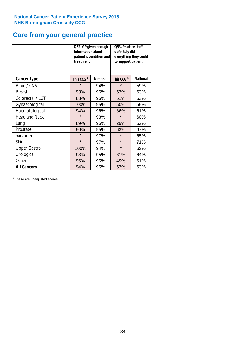### **Care from your general practice**

|                      | information about<br>treatment | Q52. GP given enough<br>patient's condition and | O53. Practice staff<br>definitely did<br>everything they could<br>to support patient |                 |  |
|----------------------|--------------------------------|-------------------------------------------------|--------------------------------------------------------------------------------------|-----------------|--|
| <b>Cancer type</b>   | This CCG <sup>\$</sup>         | <b>National</b>                                 | This CCG <sup>\$</sup>                                                               | <b>National</b> |  |
| Brain / CNS          | $\star$                        | 94%                                             | $\star$                                                                              | 59%             |  |
| <b>Breast</b>        | 93%                            | 96%                                             | 57%                                                                                  | 63%             |  |
| Colorectal / LGT     | 88%                            | 95%                                             | 61%                                                                                  | 63%             |  |
| Gynaecological       | 100%                           | 95%                                             | 50%                                                                                  | 59%             |  |
| Haematological       | 94%                            | 96%                                             | 66%                                                                                  | 61%             |  |
| <b>Head and Neck</b> | $\star$                        | 93%                                             | $\star$                                                                              | 60%             |  |
| Lung                 | 89%                            | 95%                                             | 29%                                                                                  | 62%             |  |
| Prostate             | 96%                            | 95%                                             | 63%                                                                                  | 67%             |  |
| Sarcoma              | $\star$                        | 97%                                             | $\star$                                                                              | 65%             |  |
| Skin                 | $\star$                        | 97%                                             | $\star$                                                                              | 71%             |  |
| <b>Upper Gastro</b>  | 100%                           | 94%                                             | $\star$                                                                              | 62%             |  |
| Urological           | 93%                            | 95%                                             | 61%                                                                                  | 64%             |  |
| Other                | 96%                            | 95%                                             | 49%                                                                                  | 61%             |  |
| <b>All Cancers</b>   | 94%                            | 95%                                             | 57%                                                                                  | 63%             |  |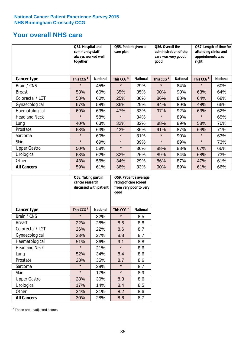### **Your overall NHS care**

|                      | Q54. Hospital and<br>community staff<br>always worked well<br>together |                 | care plan              | Q55. Patient given a |                        | Q56. Overall the<br>administration of the<br>care was very good /<br>qood |                        | Q57. Length of time for<br>attending clinics and<br>appointments was<br>right |  |
|----------------------|------------------------------------------------------------------------|-----------------|------------------------|----------------------|------------------------|---------------------------------------------------------------------------|------------------------|-------------------------------------------------------------------------------|--|
| <b>Cancer type</b>   | This CCG <sup>\$</sup>                                                 | <b>National</b> | This CCG <sup>\$</sup> | <b>National</b>      | This CCG <sup>\$</sup> | <b>National</b>                                                           | This CCG <sup>\$</sup> | <b>National</b>                                                               |  |
| Brain / CNS          | $\star$                                                                | 45%             | $\star$                | 29%                  | $\star$                | 84%                                                                       | $\star$                | 60%                                                                           |  |
| <b>Breast</b>        | 53%                                                                    | 60%             | 35%                    | 35%                  | 90%                    | 90%                                                                       | 63%                    | 64%                                                                           |  |
| Colorectal / LGT     | 58%                                                                    | 60%             | 25%                    | 36%                  | 86%                    | 88%                                                                       | 64%                    | 68%                                                                           |  |
| Gynaecological       | 67%                                                                    | 58%             | 36%                    | 29%                  | 94%                    | 89%                                                                       | 48%                    | 66%                                                                           |  |
| Haematological       | 69%                                                                    | 63%             | 47%                    | 33%                  | 97%                    | 92%                                                                       | 63%                    | 62%                                                                           |  |
| <b>Head and Neck</b> | $\star$                                                                | 58%             | $\star$                | 34%                  | $\star$                | 89%                                                                       | $\star$                | 65%                                                                           |  |
| Lung                 | 40%                                                                    | 63%             | 32%                    | 32%                  | 88%                    | 89%                                                                       | 58%                    | 70%                                                                           |  |
| Prostate             | 68%                                                                    | 63%             | 43%                    | 36%                  | 91%                    | 87%                                                                       | 64%                    | 71%                                                                           |  |
| Sarcoma              | $\star$                                                                | 60%             | $\star$                | 31%                  | $\star$                | 90%                                                                       | $\star$                | 63%                                                                           |  |
| Skin                 | $\star$                                                                | 69%             | $\star$                | 39%                  | $\star$                | 89%                                                                       | $\star$                | 73%                                                                           |  |
| <b>Upper Gastro</b>  | 50%                                                                    | 58%             | $\star$                | 36%                  | 88%                    | 88%                                                                       | 67%                    | 66%                                                                           |  |
| Urological           | 68%                                                                    | 62%             | 32%                    | 26%                  | 89%                    | 84%                                                                       | 68%                    | 73%                                                                           |  |
| Other                | 43%                                                                    | 56%             | 34%                    | 29%                  | 86%                    | 87%                                                                       | 47%                    | 61%                                                                           |  |
| <b>All Cancers</b>   | 59%                                                                    | 61%             | 36%                    | 33%                  | 90%                    | 89%                                                                       | 61%                    | 66%                                                                           |  |

|                      | Q58. Taking part in<br>cancer research | discussed with patient | Q59. Patient's average<br>rating of care scored<br>from very poor to very<br>good |                 |  |
|----------------------|----------------------------------------|------------------------|-----------------------------------------------------------------------------------|-----------------|--|
| <b>Cancer type</b>   | This CCG <sup>\$</sup>                 | <b>National</b>        | This CCG <sup>\$</sup>                                                            | <b>National</b> |  |
| Brain / CNS          | $\star$                                | 32%                    | $\star$                                                                           | 8.5             |  |
| <b>Breast</b>        | 22%                                    | 28%                    | 8.5                                                                               | 8.8             |  |
| Colorectal / LGT     | 26%                                    | 22%                    | 8.6                                                                               | 8.7             |  |
| Gynaecological       | 23%                                    | 27%                    | 8.8                                                                               | 8.7             |  |
| Haematological       | 51%                                    | 36%                    | 9.1                                                                               | 8.8             |  |
| <b>Head and Neck</b> | $\star$                                | 21%                    | $\star$                                                                           | 8.6             |  |
| Lung                 | 52%                                    | 34%                    | 8.4                                                                               | 8.6             |  |
| Prostate             | 28%                                    | 35%                    | 8.7                                                                               | 8.6             |  |
| Sarcoma              | $\star$                                | 29%                    | $\star$                                                                           | 8.7             |  |
| Skin                 | $\star$                                | 17%                    | $\star$                                                                           | 8.9             |  |
| <b>Upper Gastro</b>  | 28%                                    | 30%                    | 8.3                                                                               | 8.6             |  |
| Urological           | 17%                                    | 14%                    | 8.4                                                                               | 8.5             |  |
| Other                | 34%                                    | 31%                    | 8.2                                                                               | 8.6             |  |
| <b>All Cancers</b>   | 30%                                    | 28%                    | 8.6                                                                               | 8.7             |  |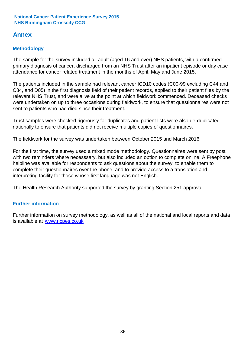### **Annex**

### **Methodology**

The sample for the survey included all adult (aged 16 and over) NHS patients, with a confirmed primary diagnosis of cancer, discharged from an NHS Trust after an inpatient episode or day case attendance for cancer related treatment in the months of April, May and June 2015.

The patients included in the sample had relevant cancer ICD10 codes (C00-99 excluding C44 and C84, and D05) in the first diagnosis field of their patient records, applied to their patient files by the relevant NHS Trust, and were alive at the point at which fieldwork commenced. Deceased checks were undertaken on up to three occasions during fieldwork, to ensure that questionnaires were not sent to patients who had died since their treatment.

Trust samples were checked rigorously for duplicates and patient lists were also de-duplicated nationally to ensure that patients did not receive multiple copies of questionnaires.

The fieldwork for the survey was undertaken between October 2015 and March 2016.

For the first time, the survey used a mixed mode methodology. Questionnaires were sent by post with two reminders where necesssary, but also included an option to complete online. A Freephone helpline was available for respondents to ask questions about the survey, to enable them to complete their questionnaires over the phone, and to provide access to a translation and interpreting facility for those whose first language was not English.

The Health Research Authority supported the survey by granting Section 251 approval.

#### **Further information**

Further information on survey methodology, as well as all of the national and local reports and data, is available at www.ncpes.co.uk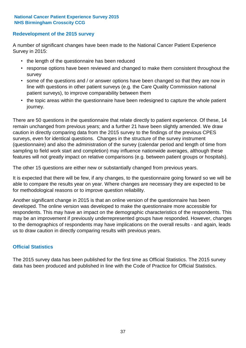#### **Redevelopment of the 2015 survey**

A number of significant changes have been made to the National Cancer Patient Experience Survey in 2015:

- the length of the questionnaire has been reduced
- response options have been reviewed and changed to make them consistent throughout the survey
- some of the questions and / or answer options have been changed so that they are now in line with questions in other patient surveys (e.g. the Care Quality Commission national patient surveys), to improve comparability between them
- the topic areas within the questionnaire have been redesigned to capture the whole patient journey.

There are 50 questions in the questionnaire that relate directly to patient experience. Of these, 14 remain unchanged from previous years; and a further 21 have been slightly amended. We draw caution in directly comparing data from the 2015 survey to the findings of the previous CPES surveys, even for identical questions. Changes in the structure of the survey instrument (questionnaire) and also the administration of the survey (calendar period and length of time from sampling to field work start and completion) may influence nationwide averages, although these features will not greatly impact on relative comparisons (e.g. between patient groups or hospitals).

The other 15 questions are either new or substantially changed from previous years.

It is expected that there will be few, if any changes, to the questionnaire going forward so we will be able to compare the results year on year. Where changes are necessary they are expected to be for methodological reasons or to improve question reliability.

Another significant change in 2015 is that an online version of the questionnaire has been developed. The online version was developed to make the questionnaire more accessible for respondents. This may have an impact on the demographic characteristics of the respondents. This may be an improvement if previously underrepresented groups have responded. However, changes to the demographics of respondents may have implications on the overall results - and again, leads us to draw caution in directly comparing results with previous years.

#### **Official Statistics**

The 2015 survey data has been published for the first time as Official Statistics. The 2015 survey data has been produced and published in line with the Code of Practice for Official Statistics.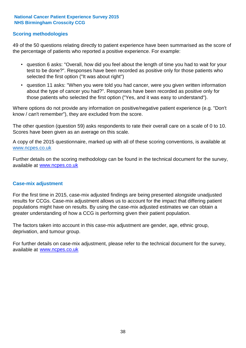#### **Scoring methodologies**

49 of the 50 questions relating directly to patient experience have been summarised as the score of the percentage of patients who reported a positive experience. For example:

- question 6 asks: "Overall, how did you feel about the length of time you had to wait for your test to be done?". Responses have been recorded as positive only for those patients who selected the first option ("It was about right")
- question 11 asks: "When you were told you had cancer, were you given written information about the type of cancer you had?". Responses have been recorded as positive only for those patients who selected the first option ("Yes, and it was easy to understand").

Where options do not provide any information on positive/negative patient experience (e.g. "Don't know / can't remember"), they are excluded from the score.

The other question (question 59) asks respondents to rate their overall care on a scale of 0 to 10. Scores have been given as an average on this scale.

A copy of the 2015 questionnaire, marked up with all of these scoring conventions, is available at www.ncpes.co.uk

Further details on the scoring methodology can be found in the technical document for the survey, available at <u>www.ncpes.co.uk</u>

#### **Case-mix adjustment**

For the first time in 2015, case-mix adjusted findings are being presented alongside unadjusted results for CCGs. Case-mix adjustment allows us to account for the impact that differing patient populations might have on results. By using the case-mix adjusted estimates we can obtain a greater understanding of how a CCG is performing given their patient population.

The factors taken into account in this case-mix adjustment are gender, age, ethnic group, deprivation, and tumour group.

For further details on case-mix adjustment, please refer to the technical document for the survey, available at www.ncpes.co.uk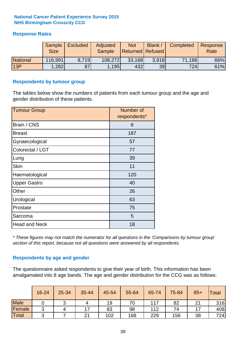#### **Response Rates**

|                 | Sample<br><b>Size</b> | <b>Excluded</b> | Adjusted<br><b>Sample</b> | <b>Not</b><br><b>Returned Refused</b> | Blank / | Completed | Response<br>Rate |
|-----------------|-----------------------|-----------------|---------------------------|---------------------------------------|---------|-----------|------------------|
| <b>National</b> | 116,991               | 8.719           | 108,272                   | 33,168                                | 3.918   | 71,186    | 66%              |
| 13P             | ,282                  | 87              | 1,195                     | 432                                   | 39      | 724       | 61%              |

#### **Respondents by tumour group**

The tables below show the numbers of patients from each tumour group and the age and gender distribution of these patients.

| <b>Tumour Group</b>  | Number of<br>respondents* |  |  |
|----------------------|---------------------------|--|--|
| Brain / CNS          | 6                         |  |  |
| <b>Breast</b>        | 187                       |  |  |
| Gynaecological       | 57                        |  |  |
| Colorectal / LGT     | 77                        |  |  |
| Lung                 | 39                        |  |  |
| <b>Skin</b>          | 11                        |  |  |
| Haematological       | 120                       |  |  |
| <b>Upper Gastro</b>  | 40                        |  |  |
| Other                | 26                        |  |  |
| Urological           | 63                        |  |  |
| Prostate             | 75                        |  |  |
| Sarcoma              | 5                         |  |  |
| <b>Head and Neck</b> | 18                        |  |  |

*\* These figures may not match the numerator for all questions in the 'Comparisons by tumour group' section of this report, because not all questions were answered by all respondents.*

#### **Respondents by age and gender**

The questionnaire asked respondents to give their year of birth. This information has been amalgamated into 8 age bands. The age and gender distribution for the CCG was as follows:

|             | 16-24  | 25-34 | 35-44 | 45-54 | 55-64 | 65-74 | 75-84 | $85+$  | <b>Total</b> |
|-------------|--------|-------|-------|-------|-------|-------|-------|--------|--------------|
| <b>Male</b> |        | ັ     |       | 19    | 70    | 117   | 82    | $\sim$ | 316          |
| Female      | ◠<br>ັ |       | 17    | 83    | 98    | 112   | 74    |        | 408          |
| Total       | ⌒      |       | 21    | 102   | 168   | 229   | 156   | 38     | 724          |